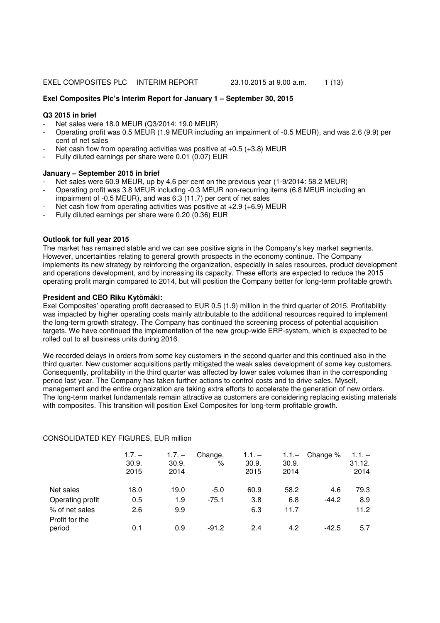## **Exel Composites Plc's Interim Report for January 1 – September 30, 2015**

## **Q3 2015 in brief**

- Net sales were 18.0 MEUR (Q3/2014: 19.0 MEUR)
- Operating profit was 0.5 MEUR (1.9 MEUR including an impairment of -0.5 MEUR), and was 2.6 (9.9) per cent of net sales
- Net cash flow from operating activities was positive at  $+0.5$  ( $+3.8$ ) MEUR
- Fully diluted earnings per share were 0.01 (0.07) EUR

## **January – September 2015 in brief**

- Net sales were 60.9 MEUR, up by 4.6 per cent on the previous year (1-9/2014: 58.2 MEUR)
- Operating profit was 3.8 MEUR including -0.3 MEUR non-recurring items (6.8 MEUR including an impairment of -0.5 MEUR), and was 6.3 (11.7) per cent of net sales
- Net cash flow from operating activities was positive at  $+2.9$  ( $+6.9$ ) MEUR
- Fully diluted earnings per share were 0.20 (0.36) EUR

# **Outlook for full year 2015**

The market has remained stable and we can see positive signs in the Company's key market segments. However, uncertainties relating to general growth prospects in the economy continue. The Company implements its new strategy by reinforcing the organization, especially in sales resources, product development and operations development, and by increasing its capacity. These efforts are expected to reduce the 2015 operating profit margin compared to 2014, but will position the Company better for long-term profitable growth.

## **President and CEO Riku Kytömäki:**

Exel Composites' operating profit decreased to EUR 0.5 (1.9) million in the third quarter of 2015. Profitability was impacted by higher operating costs mainly attributable to the additional resources required to implement the long-term growth strategy. The Company has continued the screening process of potential acquisition targets. We have continued the implementation of the new group-wide ERP-system, which is expected to be rolled out to all business units during 2016.

We recorded delays in orders from some key customers in the second quarter and this continued also in the third quarter. New customer acquisitions partly mitigated the weak sales development of some key customers. Consequently, profitability in the third quarter was affected by lower sales volumes than in the corresponding period last year. The Company has taken further actions to control costs and to drive sales. Myself, management and the entire organization are taking extra efforts to accelerate the generation of new orders. The long-term market fundamentals remain attractive as customers are considering replacing existing materials with composites. This transition will position Exel Composites for long-term profitable growth.

|                          | $1.7. -$<br>30.9.<br>2015 | $1.7. -$<br>30.9.<br>2014 | Change,<br>% | $1.1. -$<br>30.9.<br>2015 | $1.1 -$<br>30.9.<br>2014 | Change % | $1.1 -$<br>31.12.<br>2014 |
|--------------------------|---------------------------|---------------------------|--------------|---------------------------|--------------------------|----------|---------------------------|
| Net sales                | 18.0                      | 19.0                      | $-5.0$       | 60.9                      | 58.2                     | 4.6      | 79.3                      |
| Operating profit         | 0.5                       | 1.9                       | $-75.1$      | 3.8                       | 6.8                      | $-44.2$  | 8.9                       |
| % of net sales           | 2.6                       | 9.9                       |              | 6.3                       | 11.7                     |          | 11.2                      |
| Profit for the<br>period | 0.1                       | 0.9                       | $-91.2$      | 2.4                       | 4.2                      | -42.5    | 5.7                       |

#### CONSOLIDATED KEY FIGURES, EUR million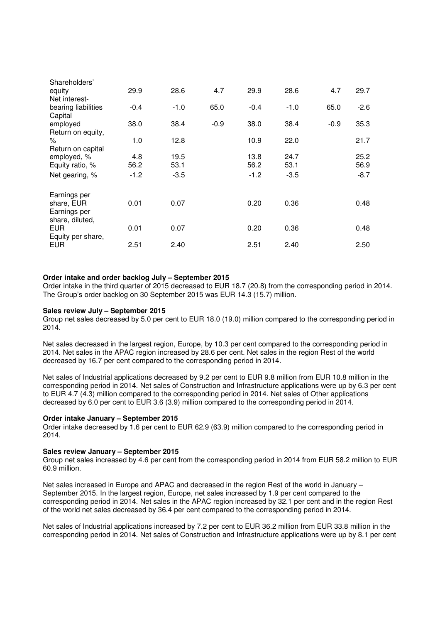| Shareholders'                                                 |        |        |        |        |        |        |        |
|---------------------------------------------------------------|--------|--------|--------|--------|--------|--------|--------|
| equity<br>Net interest-                                       | 29.9   | 28.6   | 4.7    | 29.9   | 28.6   | 4.7    | 29.7   |
| bearing liabilities<br>Capital                                | $-0.4$ | $-1.0$ | 65.0   | $-0.4$ | $-1.0$ | 65.0   | $-2.6$ |
| employed<br>Return on equity,                                 | 38.0   | 38.4   | $-0.9$ | 38.0   | 38.4   | $-0.9$ | 35.3   |
| %<br>Return on capital                                        | 1.0    | 12.8   |        | 10.9   | 22.0   |        | 21.7   |
| employed, %                                                   | 4.8    | 19.5   |        | 13.8   | 24.7   |        | 25.2   |
| Equity ratio, %                                               | 56.2   | 53.1   |        | 56.2   | 53.1   |        | 56.9   |
| Net gearing, %                                                | $-1.2$ | $-3.5$ |        | $-1.2$ | $-3.5$ |        | $-8.7$ |
| Earnings per<br>share, EUR<br>Earnings per<br>share, diluted, | 0.01   | 0.07   |        | 0.20   | 0.36   |        | 0.48   |
| <b>EUR</b><br>Equity per share,                               | 0.01   | 0.07   |        | 0.20   | 0.36   |        | 0.48   |
| <b>EUR</b>                                                    | 2.51   | 2.40   |        | 2.51   | 2.40   |        | 2.50   |

# **Order intake and order backlog July – September 2015**

Order intake in the third quarter of 2015 decreased to EUR 18.7 (20.8) from the corresponding period in 2014. The Group's order backlog on 30 September 2015 was EUR 14.3 (15.7) million.

#### **Sales review July – September 2015**

Group net sales decreased by 5.0 per cent to EUR 18.0 (19.0) million compared to the corresponding period in 2014.

Net sales decreased in the largest region, Europe, by 10.3 per cent compared to the corresponding period in 2014. Net sales in the APAC region increased by 28.6 per cent. Net sales in the region Rest of the world decreased by 16.7 per cent compared to the corresponding period in 2014.

Net sales of Industrial applications decreased by 9.2 per cent to EUR 9.8 million from EUR 10.8 million in the corresponding period in 2014. Net sales of Construction and Infrastructure applications were up by 6.3 per cent to EUR 4.7 (4.3) million compared to the corresponding period in 2014. Net sales of Other applications decreased by 6.0 per cent to EUR 3.6 (3.9) million compared to the corresponding period in 2014.

# **Order intake January – September 2015**

Order intake decreased by 1.6 per cent to EUR 62.9 (63.9) million compared to the corresponding period in 2014.

# **Sales review January – September 2015**

Group net sales increased by 4.6 per cent from the corresponding period in 2014 from EUR 58.2 million to EUR 60.9 million.

Net sales increased in Europe and APAC and decreased in the region Rest of the world in January – September 2015. In the largest region, Europe, net sales increased by 1.9 per cent compared to the corresponding period in 2014. Net sales in the APAC region increased by 32.1 per cent and in the region Rest of the world net sales decreased by 36.4 per cent compared to the corresponding period in 2014.

Net sales of Industrial applications increased by 7.2 per cent to EUR 36.2 million from EUR 33.8 million in the corresponding period in 2014. Net sales of Construction and Infrastructure applications were up by 8.1 per cent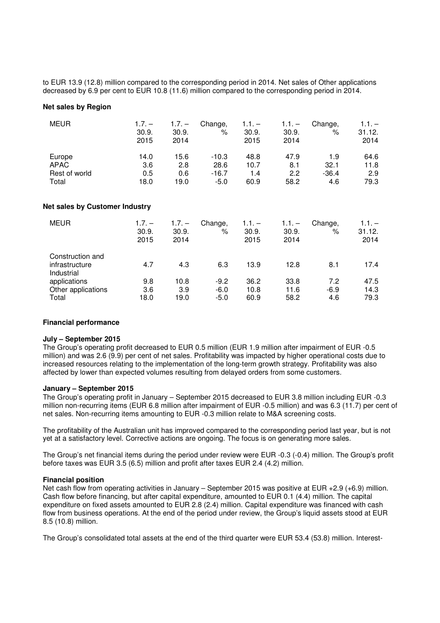to EUR 13.9 (12.8) million compared to the corresponding period in 2014. Net sales of Other applications decreased by 6.9 per cent to EUR 10.8 (11.6) million compared to the corresponding period in 2014.

# **Net sales by Region**

| <b>MEUR</b>   | $1.7. -$<br>30.9.<br>2015 | $1.7. -$<br>30.9.<br>2014 | Change,<br>% | $1.1. -$<br>30.9.<br>2015 | $1.1. -$<br>30.9.<br>2014 | Change,<br>% | $1.1. -$<br>31.12.<br>2014 |
|---------------|---------------------------|---------------------------|--------------|---------------------------|---------------------------|--------------|----------------------------|
| Europe        | 14.0                      | 15.6                      | $-10.3$      | 48.8                      | 47.9                      | 1.9          | 64.6                       |
| <b>APAC</b>   | 3.6                       | 2.8                       | 28.6         | 10.7                      | 8.1                       | 32.1         | 11.8                       |
| Rest of world | 0.5                       | 0.6                       | $-16.7$      | 1.4                       | 2.2                       | $-36.4$      | 2.9                        |
| Total         | 18.0                      | 19.0                      | $-5.0$       | 60.9                      | 58.2                      | 4.6          | 79.3                       |

# **Net sales by Customer Industry**

| <b>MEUR</b>                                      | $1.7. -$<br>30.9.<br>2015 | $1.7. -$<br>30.9.<br>2014 | Change,<br>% | $1.1. -$<br>30.9.<br>2015 | $1.1 -$<br>30.9.<br>2014 | Change,<br>% | $1.1. -$<br>31.12.<br>2014 |
|--------------------------------------------------|---------------------------|---------------------------|--------------|---------------------------|--------------------------|--------------|----------------------------|
| Construction and<br>infrastructure<br>Industrial | 4.7                       | 4.3                       | 6.3          | 13.9                      | 12.8                     | 8.1          | 17.4                       |
| applications                                     | 9.8                       | 10.8                      | $-9.2$       | 36.2                      | 33.8                     | 7.2          | 47.5                       |
| Other applications                               | 3.6                       | 3.9                       | $-6.0$       | 10.8                      | 11.6                     | $-6.9$       | 14.3                       |
| Total                                            | 18.0                      | 19.0                      | $-5.0$       | 60.9                      | 58.2                     | 4.6          | 79.3                       |

#### **Financial performance**

## **July – September 2015**

The Group's operating profit decreased to EUR 0.5 million (EUR 1.9 million after impairment of EUR -0.5 million) and was 2.6 (9.9) per cent of net sales. Profitability was impacted by higher operational costs due to increased resources relating to the implementation of the long-term growth strategy. Profitability was also affected by lower than expected volumes resulting from delayed orders from some customers.

## **January – September 2015**

The Group's operating profit in January – September 2015 decreased to EUR 3.8 million including EUR -0.3 million non-recurring items (EUR 6.8 million after impairment of EUR -0.5 million) and was 6.3 (11.7) per cent of net sales. Non-recurring items amounting to EUR -0.3 million relate to M&A screening costs.

The profitability of the Australian unit has improved compared to the corresponding period last year, but is not yet at a satisfactory level. Corrective actions are ongoing. The focus is on generating more sales.

The Group's net financial items during the period under review were EUR -0.3 (-0.4) million. The Group's profit before taxes was EUR 3.5 (6.5) million and profit after taxes EUR 2.4 (4.2) million.

#### **Financial position**

Net cash flow from operating activities in January – September 2015 was positive at EUR +2.9 (+6.9) million. Cash flow before financing, but after capital expenditure, amounted to EUR 0.1 (4.4) million. The capital expenditure on fixed assets amounted to EUR 2.8 (2.4) million. Capital expenditure was financed with cash flow from business operations. At the end of the period under review, the Group's liquid assets stood at EUR 8.5 (10.8) million.

The Group's consolidated total assets at the end of the third quarter were EUR 53.4 (53.8) million. Interest-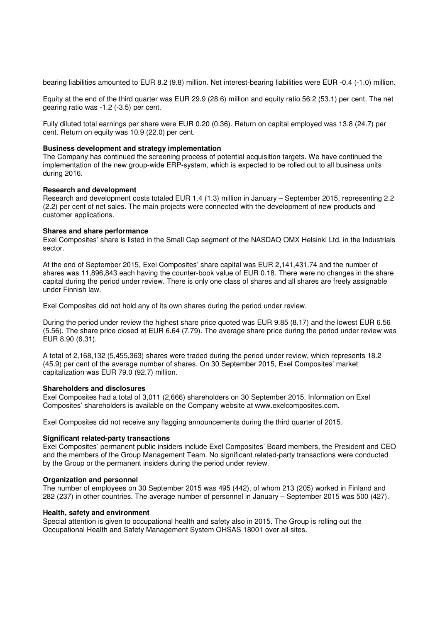bearing liabilities amounted to EUR 8.2 (9.8) million. Net interest-bearing liabilities were EUR -0.4 (-1.0) million.

Equity at the end of the third quarter was EUR 29.9 (28.6) million and equity ratio 56.2 (53.1) per cent. The net gearing ratio was -1.2 (-3.5) per cent.

Fully diluted total earnings per share were EUR 0.20 (0.36). Return on capital employed was 13.8 (24.7) per cent. Return on equity was 10.9 (22.0) per cent.

#### **Business development and strategy implementation**

The Company has continued the screening process of potential acquisition targets. We have continued the implementation of the new group-wide ERP-system, which is expected to be rolled out to all business units during 2016.

## **Research and development**

Research and development costs totaled EUR 1.4 (1.3) million in January – September 2015, representing 2.2 (2.2) per cent of net sales. The main projects were connected with the development of new products and customer applications.

## **Shares and share performance**

Exel Composites' share is listed in the Small Cap segment of the NASDAQ OMX Helsinki Ltd. in the Industrials sector.

At the end of September 2015, Exel Composites' share capital was EUR 2,141,431.74 and the number of shares was 11,896,843 each having the counter-book value of EUR 0.18. There were no changes in the share capital during the period under review. There is only one class of shares and all shares are freely assignable under Finnish law.

Exel Composites did not hold any of its own shares during the period under review.

During the period under review the highest share price quoted was EUR 9.85 (8.17) and the lowest EUR 6.56 (5.56). The share price closed at EUR 6.64 (7.79). The average share price during the period under review was EUR 8.90 (6.31).

A total of 2,168,132 (5,455,363) shares were traded during the period under review, which represents 18.2 (45.9) per cent of the average number of shares. On 30 September 2015, Exel Composites' market capitalization was EUR 79.0 (92.7) million.

#### **Shareholders and disclosures**

Exel Composites had a total of 3,011 (2,666) shareholders on 30 September 2015. Information on Exel Composites' shareholders is available on the Company website at www.exelcomposites.com.

Exel Composites did not receive any flagging announcements during the third quarter of 2015.

#### **Significant related-party transactions**

Exel Composites' permanent public insiders include Exel Composites' Board members, the President and CEO and the members of the Group Management Team. No significant related-party transactions were conducted by the Group or the permanent insiders during the period under review.

#### **Organization and personnel**

The number of employees on 30 September 2015 was 495 (442), of whom 213 (205) worked in Finland and 282 (237) in other countries. The average number of personnel in January – September 2015 was 500 (427).

# **Health, safety and environment**

Special attention is given to occupational health and safety also in 2015. The Group is rolling out the Occupational Health and Safety Management System OHSAS 18001 over all sites.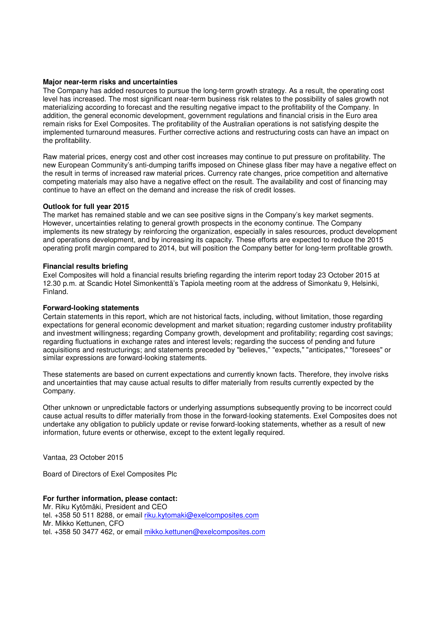## **Major near-term risks and uncertainties**

The Company has added resources to pursue the long-term growth strategy. As a result, the operating cost level has increased. The most significant near-term business risk relates to the possibility of sales growth not materializing according to forecast and the resulting negative impact to the profitability of the Company. In addition, the general economic development, government regulations and financial crisis in the Euro area remain risks for Exel Composites. The profitability of the Australian operations is not satisfying despite the implemented turnaround measures. Further corrective actions and restructuring costs can have an impact on the profitability.

Raw material prices, energy cost and other cost increases may continue to put pressure on profitability. The new European Community's anti-dumping tariffs imposed on Chinese glass fiber may have a negative effect on the result in terms of increased raw material prices. Currency rate changes, price competition and alternative competing materials may also have a negative effect on the result. The availability and cost of financing may continue to have an effect on the demand and increase the risk of credit losses.

## **Outlook for full year 2015**

The market has remained stable and we can see positive signs in the Company's key market segments. However, uncertainties relating to general growth prospects in the economy continue. The Company implements its new strategy by reinforcing the organization, especially in sales resources, product development and operations development, and by increasing its capacity. These efforts are expected to reduce the 2015 operating profit margin compared to 2014, but will position the Company better for long-term profitable growth.

## **Financial results briefing**

Exel Composites will hold a financial results briefing regarding the interim report today 23 October 2015 at 12.30 p.m. at Scandic Hotel Simonkenttä's Tapiola meeting room at the address of Simonkatu 9, Helsinki, Finland.

## **Forward-looking statements**

Certain statements in this report, which are not historical facts, including, without limitation, those regarding expectations for general economic development and market situation; regarding customer industry profitability and investment willingness; regarding Company growth, development and profitability; regarding cost savings; regarding fluctuations in exchange rates and interest levels; regarding the success of pending and future acquisitions and restructurings; and statements preceded by "believes," "expects," "anticipates," "foresees" or similar expressions are forward-looking statements.

These statements are based on current expectations and currently known facts. Therefore, they involve risks and uncertainties that may cause actual results to differ materially from results currently expected by the Company.

Other unknown or unpredictable factors or underlying assumptions subsequently proving to be incorrect could cause actual results to differ materially from those in the forward-looking statements. Exel Composites does not undertake any obligation to publicly update or revise forward-looking statements, whether as a result of new information, future events or otherwise, except to the extent legally required.

Vantaa, 23 October 2015

Board of Directors of Exel Composites Plc

# **For further information, please contact:**

Mr. Riku Kytömäki, President and CEO tel. +358 50 511 8288, or email riku.kytomaki@exelcomposites.com Mr. Mikko Kettunen, CFO tel. +358 50 3477 462, or email mikko.kettunen@exelcomposites.com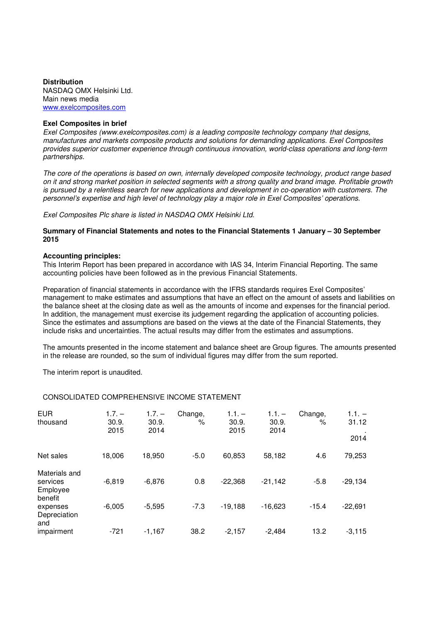#### **Distribution**  NASDAQ OMX Helsinki Ltd. Main news media www.exelcomposites.com

# **Exel Composites in brief**

Exel Composites (www.exelcomposites.com) is a leading composite technology company that designs, manufactures and markets composite products and solutions for demanding applications. Exel Composites provides superior customer experience through continuous innovation, world-class operations and long-term partnerships.

The core of the operations is based on own, internally developed composite technology, product range based on it and strong market position in selected segments with a strong quality and brand image. Profitable growth is pursued by a relentless search for new applications and development in co-operation with customers. The personnel's expertise and high level of technology play a major role in Exel Composites' operations.

# Exel Composites Plc share is listed in NASDAQ OMX Helsinki Ltd.

# **Summary of Financial Statements and notes to the Financial Statements 1 January – 30 September 2015**

## **Accounting principles:**

This Interim Report has been prepared in accordance with IAS 34, Interim Financial Reporting. The same accounting policies have been followed as in the previous Financial Statements.

Preparation of financial statements in accordance with the IFRS standards requires Exel Composites' management to make estimates and assumptions that have an effect on the amount of assets and liabilities on the balance sheet at the closing date as well as the amounts of income and expenses for the financial period. In addition, the management must exercise its judgement regarding the application of accounting policies. Since the estimates and assumptions are based on the views at the date of the Financial Statements, they include risks and uncertainties. The actual results may differ from the estimates and assumptions.

The amounts presented in the income statement and balance sheet are Group figures. The amounts presented in the release are rounded, so the sum of individual figures may differ from the sum reported.

The interim report is unaudited.

| <b>EUR</b><br>thousand                | $1.7. -$<br>30.9.<br>2015 | $1.7. -$<br>30.9.<br>2014 | Change,<br>$\%$ | $1.1. -$<br>30.9.<br>2015 | $1.1. -$<br>30.9.<br>2014 | Change,<br>% | $1.1. -$<br>31.12<br>2014 |
|---------------------------------------|---------------------------|---------------------------|-----------------|---------------------------|---------------------------|--------------|---------------------------|
| Net sales                             | 18,006                    | 18,950                    | $-5.0$          | 60,853                    | 58,182                    | 4.6          | 79,253                    |
| Materials and<br>services<br>Employee | $-6.819$                  | $-6,876$                  | 0.8             | $-22,368$                 | $-21,142$                 | $-5.8$       | $-29,134$                 |
| benefit<br>expenses<br>Depreciation   | $-6,005$                  | $-5,595$                  | $-7.3$          | $-19,188$                 | $-16.623$                 | $-15.4$      | $-22,691$                 |
| and<br>impairment                     | $-721$                    | $-1,167$                  | 38.2            | $-2,157$                  | $-2.484$                  | 13.2         | $-3,115$                  |

# CONSOLIDATED COMPREHENSIVE INCOME STATEMENT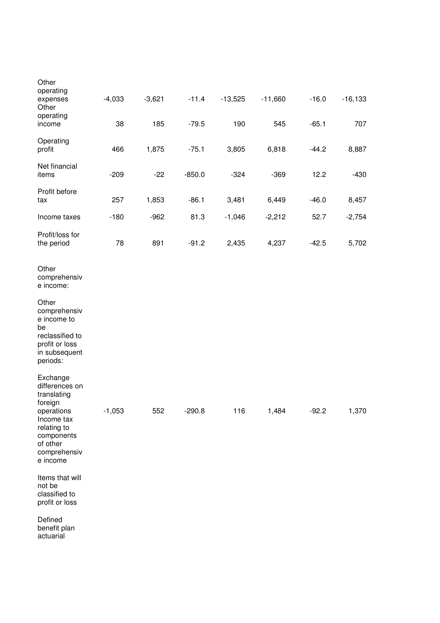| Other<br>operating<br>expenses                                                                                                                        | $-4,033$ | $-3,621$ | $-11.4$  | $-13,525$ | $-11,660$ | $-16.0$ | $-16, 133$ |
|-------------------------------------------------------------------------------------------------------------------------------------------------------|----------|----------|----------|-----------|-----------|---------|------------|
| Other                                                                                                                                                 |          |          |          |           |           |         |            |
| operating<br>income                                                                                                                                   | 38       | 185      | $-79.5$  | 190       | 545       | $-65.1$ | 707        |
| Operating<br>profit                                                                                                                                   | 466      | 1,875    | $-75.1$  | 3,805     | 6,818     | $-44.2$ | 8,887      |
| Net financial<br>items                                                                                                                                | $-209$   | $-22$    | $-850.0$ | $-324$    | $-369$    | 12.2    | $-430$     |
| Profit before<br>tax                                                                                                                                  | 257      | 1,853    | $-86.1$  | 3,481     | 6,449     | $-46.0$ | 8,457      |
| Income taxes                                                                                                                                          | $-180$   | $-962$   | 81.3     | $-1,046$  | $-2,212$  | 52.7    | $-2,754$   |
| Profit/loss for<br>the period                                                                                                                         | 78       | 891      | $-91.2$  | 2,435     | 4,237     | $-42.5$ | 5,702      |
| Other<br>comprehensiv<br>e income:                                                                                                                    |          |          |          |           |           |         |            |
| Other<br>comprehensiv<br>e income to<br>be<br>reclassified to<br>profit or loss<br>in subsequent<br>periods:                                          |          |          |          |           |           |         |            |
| Exchange<br>differences on<br>translating<br>foreign<br>operations<br>Income tax<br>relating to<br>components<br>of other<br>comprehensiv<br>e income | $-1,053$ | 552      | $-290.8$ | 116       | 1,484     | $-92.2$ | 1,370      |
| Items that will<br>not be<br>classified to<br>profit or loss                                                                                          |          |          |          |           |           |         |            |
| Defined<br>benefit plan<br>actuarial                                                                                                                  |          |          |          |           |           |         |            |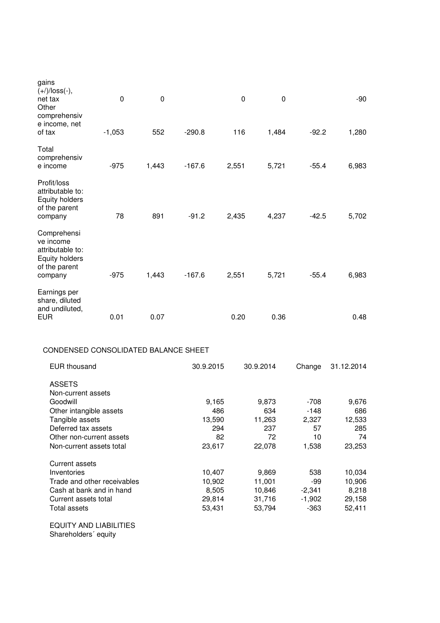| gains<br>$(+)/$ loss $(-),$<br>net tax<br>Other<br>comprehensiv<br>e income, net<br>of tax                                       | $\pmb{0}$<br>$-1,053$ | 0<br>552 | $-290.8$                                      | $\mathbf 0$<br>116 | 0<br>1,484                                    | $-92.2$                                        | $-90$<br>1,280                                |
|----------------------------------------------------------------------------------------------------------------------------------|-----------------------|----------|-----------------------------------------------|--------------------|-----------------------------------------------|------------------------------------------------|-----------------------------------------------|
|                                                                                                                                  |                       |          |                                               |                    |                                               |                                                |                                               |
| Total<br>comprehensiv<br>e income                                                                                                | $-975$                | 1,443    | $-167.6$                                      | 2,551              | 5,721                                         | $-55.4$                                        | 6,983                                         |
| Profit/loss<br>attributable to:<br><b>Equity holders</b><br>of the parent<br>company                                             | 78                    | 891      | $-91.2$                                       | 2,435              | 4,237                                         | $-42.5$                                        | 5,702                                         |
| Comprehensi<br>ve income<br>attributable to:<br><b>Equity holders</b><br>of the parent<br>company                                | $-975$                | 1,443    | $-167.6$                                      | 2,551              | 5,721                                         | $-55.4$                                        | 6,983                                         |
| Earnings per<br>share, diluted<br>and undiluted,<br><b>EUR</b>                                                                   | 0.01                  | 0.07     |                                               | 0.20               | 0.36                                          |                                                | 0.48                                          |
| CONDENSED CONSOLIDATED BALANCE SHEET                                                                                             |                       |          |                                               |                    |                                               |                                                |                                               |
| <b>EUR thousand</b>                                                                                                              |                       |          | 30.9.2015                                     |                    | 30.9.2014                                     | Change                                         | 31.12.2014                                    |
| <b>ASSETS</b><br>Non-current assets<br>Goodwill<br>Other intangible assets                                                       |                       |          | 9,165                                         | 486                | 9,873<br>634                                  | $-708$<br>$-148$                               | 9,676<br>686                                  |
| Tangible assets<br>Deferred tax assets<br>Other non-current assets                                                               |                       |          | 13,590                                        | 294<br>82          | 11,263<br>237<br>72                           | 2,327<br>57<br>10                              | 12,533<br>285<br>74                           |
| Non-current assets total                                                                                                         |                       |          | 23,617                                        |                    | 22,078                                        | 1,538                                          | 23,253                                        |
| Current assets<br>Inventories<br>Trade and other receivables<br>Cash at bank and in hand<br>Current assets total<br>Total assets |                       |          | 10,407<br>10,902<br>8,505<br>29,814<br>53,431 |                    | 9,869<br>11,001<br>10,846<br>31,716<br>53,794 | 538<br>$-99$<br>$-2,341$<br>$-1,902$<br>$-363$ | 10,034<br>10,906<br>8,218<br>29,158<br>52,411 |
| <b>EQUITY AND LIABILITIES</b>                                                                                                    |                       |          |                                               |                    |                                               |                                                |                                               |

Shareholders´ equity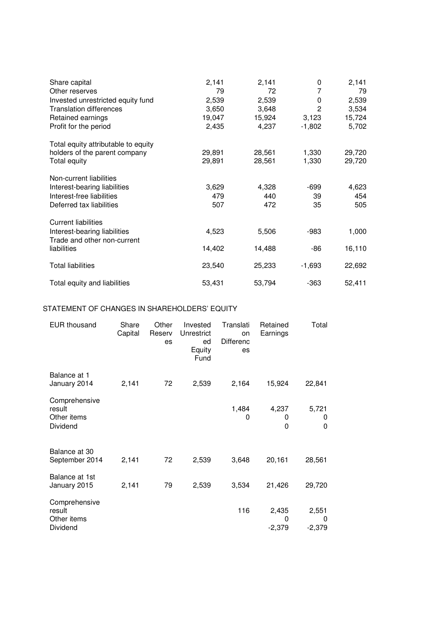| Share capital                              | 2,141  | 2,141  | 0            | 2,141  |
|--------------------------------------------|--------|--------|--------------|--------|
| Other reserves                             | 79     | 72     | 7            | 79     |
| Invested unrestricted equity fund          | 2,539  | 2,539  | 0            | 2,539  |
| <b>Translation differences</b>             | 3,650  | 3,648  | $\mathbf{2}$ | 3,534  |
| Retained earnings                          | 19,047 | 15,924 | 3,123        | 15,724 |
| Profit for the period                      | 2,435  | 4,237  | $-1,802$     | 5,702  |
| Total equity attributable to equity        |        |        |              |        |
| holders of the parent company              | 29,891 | 28,561 | 1,330        | 29,720 |
| Total equity                               | 29,891 | 28,561 | 1,330        | 29,720 |
| Non-current liabilities                    |        |        |              |        |
| Interest-bearing liabilities               | 3,629  | 4,328  | -699         | 4,623  |
| Interest-free liabilities                  | 479    | 440    | 39           | 454    |
| Deferred tax liabilities                   | 507    | 472    | 35           | 505    |
| <b>Current liabilities</b>                 |        |        |              |        |
| Interest-bearing liabilities               | 4,523  | 5,506  | -983         | 1,000  |
| Trade and other non-current<br>liabilities | 14,402 | 14,488 | -86          | 16,110 |
| <b>Total liabilities</b>                   | 23,540 | 25,233 | $-1,693$     | 22,692 |
| Total equity and liabilities               | 53,431 | 53,794 | $-363$       | 52,411 |

# STATEMENT OF CHANGES IN SHAREHOLDERS' EQUITY

| <b>EUR thousand</b>                                | Share<br>Capital | Other<br>Reserv<br>es | Invested<br>Unrestrict<br>ed<br>Equity<br>Fund | Translati<br>on<br><b>Differenc</b><br>es | Retained<br>Earnings   | Total                  |
|----------------------------------------------------|------------------|-----------------------|------------------------------------------------|-------------------------------------------|------------------------|------------------------|
| Balance at 1<br>January 2014                       | 2,141            | 72                    | 2,539                                          | 2,164                                     | 15,924                 | 22,841                 |
| Comprehensive<br>result<br>Other items<br>Dividend |                  |                       |                                                | 1,484<br>0                                | 4,237<br>0<br>0        | 5,721<br>0<br>0        |
| Balance at 30<br>September 2014                    | 2,141            | 72                    | 2,539                                          | 3,648                                     | 20,161                 | 28,561                 |
| Balance at 1st<br>January 2015                     | 2,141            | 79                    | 2,539                                          | 3,534                                     | 21,426                 | 29,720                 |
| Comprehensive<br>result<br>Other items<br>Dividend |                  |                       |                                                | 116                                       | 2,435<br>0<br>$-2,379$ | 2,551<br>0<br>$-2,379$ |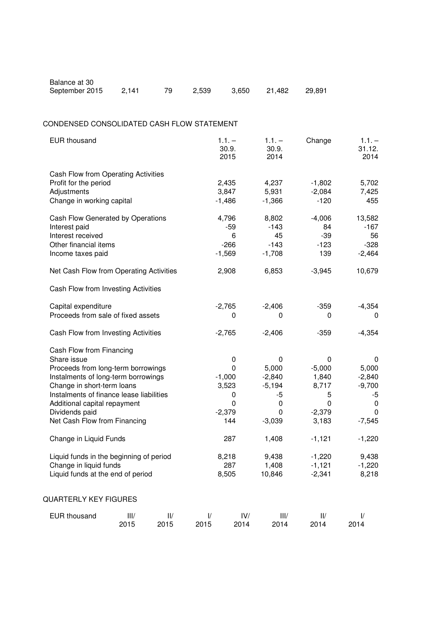| Balance at 30  |       |          |                     |  |
|----------------|-------|----------|---------------------|--|
| September 2015 | 2.141 | 79 2,539 | 3,650 21,482 29,891 |  |

# CONDENSED CONSOLIDATED CASH FLOW STATEMENT

| <b>EUR thousand</b>                                                                                                                                                                                                                                                                                                                                                                                                  |              |               |                    | $1.1. -$<br>30.9.<br>2015                                                                | $1.1. -$<br>30.9.<br>2014                                                                           | Change                                                                                                                   | $1.1. -$<br>31.12.<br>2014                                                                                         |
|----------------------------------------------------------------------------------------------------------------------------------------------------------------------------------------------------------------------------------------------------------------------------------------------------------------------------------------------------------------------------------------------------------------------|--------------|---------------|--------------------|------------------------------------------------------------------------------------------|-----------------------------------------------------------------------------------------------------|--------------------------------------------------------------------------------------------------------------------------|--------------------------------------------------------------------------------------------------------------------|
| Cash Flow from Operating Activities<br>Profit for the period<br>Adjustments<br>Change in working capital                                                                                                                                                                                                                                                                                                             |              |               |                    | 2,435<br>3,847<br>$-1,486$                                                               | 4,237<br>5,931<br>$-1,366$                                                                          | $-1,802$<br>$-2,084$<br>$-120$                                                                                           | 5,702<br>7,425<br>455                                                                                              |
| Cash Flow Generated by Operations<br>Interest paid<br>Interest received<br>Other financial items<br>Income taxes paid                                                                                                                                                                                                                                                                                                |              |               |                    | 4,796<br>$-59$<br>6<br>$-266$<br>$-1,569$                                                | 8,802<br>$-143$<br>45<br>$-143$<br>$-1,708$                                                         | $-4,006$<br>84<br>$-39$<br>$-123$<br>139                                                                                 | 13,582<br>$-167$<br>56<br>$-328$<br>$-2,464$                                                                       |
| Net Cash Flow from Operating Activities                                                                                                                                                                                                                                                                                                                                                                              |              |               |                    | 2,908                                                                                    | 6,853                                                                                               | $-3,945$                                                                                                                 | 10,679                                                                                                             |
| Cash Flow from Investing Activities                                                                                                                                                                                                                                                                                                                                                                                  |              |               |                    |                                                                                          |                                                                                                     |                                                                                                                          |                                                                                                                    |
| Capital expenditure<br>Proceeds from sale of fixed assets                                                                                                                                                                                                                                                                                                                                                            |              | $-2,765$<br>0 | $-2,406$<br>0      | $-359$<br>0                                                                              | $-4,354$<br>0                                                                                       |                                                                                                                          |                                                                                                                    |
| Cash Flow from Investing Activities                                                                                                                                                                                                                                                                                                                                                                                  |              |               |                    | $-2,765$                                                                                 | $-2,406$                                                                                            | $-359$                                                                                                                   | $-4,354$                                                                                                           |
| Cash Flow from Financing<br>Share issue<br>Proceeds from long-term borrowings<br>Instalments of long-term borrowings<br>Change in short-term loans<br>Instalments of finance lease liabilities<br>Additional capital repayment<br>Dividends paid<br>Net Cash Flow from Financing<br>Change in Liquid Funds<br>Liquid funds in the beginning of period<br>Change in liquid funds<br>Liquid funds at the end of period |              |               |                    | 0<br>0<br>$-1,000$<br>3,523<br>0<br>0<br>$-2,379$<br>144<br>287<br>8,218<br>287<br>8,505 | 0<br>5,000<br>$-2,840$<br>$-5,194$<br>-5<br>0<br>0<br>$-3,039$<br>1,408<br>9,438<br>1,408<br>10,846 | $\mathbf 0$<br>$-5,000$<br>1,840<br>8,717<br>5<br>0<br>$-2,379$<br>3,183<br>$-1,121$<br>$-1,220$<br>$-1,121$<br>$-2,341$ | 0<br>5,000<br>$-2,840$<br>$-9,700$<br>-5<br>$\mathbf 0$<br>0<br>$-7,545$<br>$-1,220$<br>9,438<br>$-1,220$<br>8,218 |
| QUARTERLY KEY FIGURES                                                                                                                                                                                                                                                                                                                                                                                                |              |               |                    |                                                                                          |                                                                                                     |                                                                                                                          |                                                                                                                    |
| <b>EUR thousand</b>                                                                                                                                                                                                                                                                                                                                                                                                  | III/<br>2015 | 1 /<br>2015   | $\sqrt{ }$<br>2015 | IV/<br>2014                                                                              | III/<br>2014                                                                                        | II/<br>2014                                                                                                              | $\frac{1}{2}$<br>2014                                                                                              |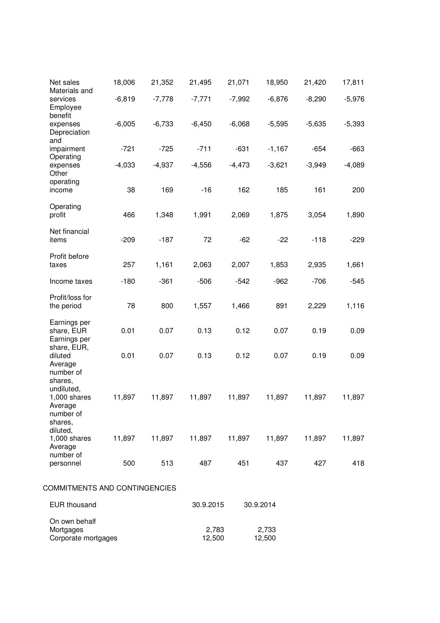| Net sales<br>Materials and                                                 | 18,006   | 21,352   | 21,495    | 21,071   | 18,950          | 21,420   | 17,811   |
|----------------------------------------------------------------------------|----------|----------|-----------|----------|-----------------|----------|----------|
| services<br>Employee                                                       | $-6,819$ | $-7,778$ | $-7,771$  | $-7,992$ | $-6,876$        | $-8,290$ | $-5,976$ |
| benefit<br>expenses<br>Depreciation                                        | $-6,005$ | $-6,733$ | $-6,450$  | $-6,068$ | $-5,595$        | $-5,635$ | $-5,393$ |
| and<br>impairment                                                          | $-721$   | $-725$   | $-711$    | $-631$   | $-1,167$        | $-654$   | $-663$   |
| Operating<br>expenses<br>Other                                             | $-4,033$ | $-4,937$ | $-4,556$  | $-4,473$ | $-3,621$        | $-3,949$ | $-4,089$ |
| operating<br>income                                                        | 38       | 169      | $-16$     | 162      | 185             | 161      | 200      |
| Operating<br>profit                                                        | 466      | 1,348    | 1,991     | 2,069    | 1,875           | 3,054    | 1,890    |
| Net financial<br>items                                                     | $-209$   | $-187$   | 72        | $-62$    | $-22$           | $-118$   | $-229$   |
| Profit before<br>taxes                                                     | 257      | 1,161    | 2,063     | 2,007    | 1,853           | 2,935    | 1,661    |
| Income taxes                                                               | $-180$   | $-361$   | $-506$    | $-542$   | $-962$          | $-706$   | $-545$   |
| Profit/loss for<br>the period                                              | 78       | 800      | 1,557     | 1,466    | 891             | 2,229    | 1,116    |
| Earnings per<br>share, EUR<br>Earnings per                                 | 0.01     | 0.07     | 0.13      | 0.12     | 0.07            | 0.19     | 0.09     |
| share, EUR,<br>diluted<br>Average                                          | 0.01     | 0.07     | 0.13      | 0.12     | 0.07            | 0.19     | 0.09     |
| number of<br>shares,<br>undiluted,<br>1,000 shares<br>Average<br>number of | 11,897   | 11,897   | 11,897    | 11,897   | 11,897          | 11,897   | 11,897   |
| shares,<br>diluted,<br>$1,000$ shares<br>Average<br>number of              | 11,897   | 11,897   | 11,897    | 11,897   | 11,897          | 11,897   | 11,897   |
| personnel                                                                  | 500      | 513      | 487       | 451      | 437             | 427      | 418      |
| COMMITMENTS AND CONTINGENCIES                                              |          |          |           |          |                 |          |          |
| <b>EUR thousand</b>                                                        |          |          | 30.9.2015 |          | 30.9.2014       |          |          |
| On own behalf<br>Mortgages<br>Corporate mortgages                          |          |          | 12,500    | 2,783    | 2,733<br>12,500 |          |          |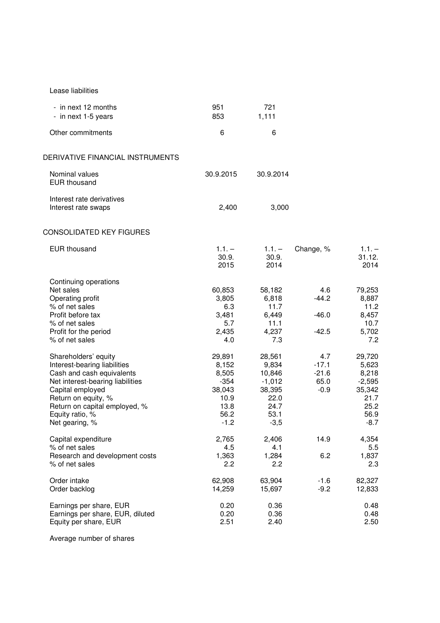| Lease liabilities |  |
|-------------------|--|
|                   |  |

| Other commitments<br>6<br>6<br>DERIVATIVE FINANCIAL INSTRUMENTS<br>Nominal values<br>30.9.2015<br>30.9.2014<br><b>EUR</b> thousand<br>Interest rate derivatives<br>2,400<br>3,000<br>Interest rate swaps<br>CONSOLIDATED KEY FIGURES<br><b>EUR thousand</b><br>$1.1. -$<br>$1.1. -$<br>Change, %<br>30.9.<br>30.9.<br>2015<br>2014<br>Continuing operations<br>Net sales<br>4.6<br>60,853<br>58,182<br>$-44.2$<br>Operating profit<br>3,805<br>6,818<br>% of net sales<br>6.3<br>11.7<br>Profit before tax<br>6,449<br>$-46.0$<br>3,481<br>5.7<br>11.1<br>% of net sales<br>2,435<br>4,237<br>$-42.5$<br>Profit for the period<br>% of net sales<br>4.0<br>7.3<br>Shareholders' equity<br>29,891<br>28,561<br>4.7<br>$-17.1$<br>Interest-bearing liabilities<br>8,152<br>9,834<br>$-21.6$<br>Cash and cash equivalents<br>8,505<br>10,846<br>$-354$<br>$-1,012$<br>65.0<br>Net interest-bearing liabilities<br>38,043<br>38,395<br>$-0.9$<br>Capital employed<br>Return on equity, %<br>10.9<br>22.0<br>13.8<br>Return on capital employed, %<br>24.7<br>56.2<br>53.1<br>Equity ratio, %<br>Net gearing, %<br>$-1.2$<br>$-3,5$<br>2,765<br>14.9<br>Capital expenditure<br>2,406<br>% of net sales<br>4.5<br>4.1<br>1,363<br>1,284<br>6.2<br>Research and development costs<br>2.2<br>2.2<br>% of net sales<br>Order intake<br>62,908<br>63,904<br>$-1.6$<br>15,697<br>$-9.2$<br>Order backlog<br>14,259<br>0.20<br>0.36<br>Earnings per share, EUR | - in next 12 months<br>- in next 1-5 years | 951<br>853 | 721<br>1,111 |                                                                                  |
|----------------------------------------------------------------------------------------------------------------------------------------------------------------------------------------------------------------------------------------------------------------------------------------------------------------------------------------------------------------------------------------------------------------------------------------------------------------------------------------------------------------------------------------------------------------------------------------------------------------------------------------------------------------------------------------------------------------------------------------------------------------------------------------------------------------------------------------------------------------------------------------------------------------------------------------------------------------------------------------------------------------------------------------------------------------------------------------------------------------------------------------------------------------------------------------------------------------------------------------------------------------------------------------------------------------------------------------------------------------------------------------------------------------------------------------------------|--------------------------------------------|------------|--------------|----------------------------------------------------------------------------------|
|                                                                                                                                                                                                                                                                                                                                                                                                                                                                                                                                                                                                                                                                                                                                                                                                                                                                                                                                                                                                                                                                                                                                                                                                                                                                                                                                                                                                                                                    |                                            |            |              |                                                                                  |
|                                                                                                                                                                                                                                                                                                                                                                                                                                                                                                                                                                                                                                                                                                                                                                                                                                                                                                                                                                                                                                                                                                                                                                                                                                                                                                                                                                                                                                                    |                                            |            |              |                                                                                  |
|                                                                                                                                                                                                                                                                                                                                                                                                                                                                                                                                                                                                                                                                                                                                                                                                                                                                                                                                                                                                                                                                                                                                                                                                                                                                                                                                                                                                                                                    |                                            |            |              |                                                                                  |
|                                                                                                                                                                                                                                                                                                                                                                                                                                                                                                                                                                                                                                                                                                                                                                                                                                                                                                                                                                                                                                                                                                                                                                                                                                                                                                                                                                                                                                                    |                                            |            |              |                                                                                  |
|                                                                                                                                                                                                                                                                                                                                                                                                                                                                                                                                                                                                                                                                                                                                                                                                                                                                                                                                                                                                                                                                                                                                                                                                                                                                                                                                                                                                                                                    |                                            |            |              |                                                                                  |
|                                                                                                                                                                                                                                                                                                                                                                                                                                                                                                                                                                                                                                                                                                                                                                                                                                                                                                                                                                                                                                                                                                                                                                                                                                                                                                                                                                                                                                                    |                                            |            |              | $1.1. -$<br>31.12.<br>2014                                                       |
|                                                                                                                                                                                                                                                                                                                                                                                                                                                                                                                                                                                                                                                                                                                                                                                                                                                                                                                                                                                                                                                                                                                                                                                                                                                                                                                                                                                                                                                    |                                            |            |              | 79,253<br>8,887<br>11.2<br>8,457<br>10.7<br>5,702<br>7.2                         |
|                                                                                                                                                                                                                                                                                                                                                                                                                                                                                                                                                                                                                                                                                                                                                                                                                                                                                                                                                                                                                                                                                                                                                                                                                                                                                                                                                                                                                                                    |                                            |            |              | 29,720<br>5,623<br>8,218<br>$-2,595$<br>35,342<br>21.7<br>25.2<br>56.9<br>$-8.7$ |
|                                                                                                                                                                                                                                                                                                                                                                                                                                                                                                                                                                                                                                                                                                                                                                                                                                                                                                                                                                                                                                                                                                                                                                                                                                                                                                                                                                                                                                                    |                                            |            |              | 4,354<br>5.5<br>1,837<br>2.3                                                     |
|                                                                                                                                                                                                                                                                                                                                                                                                                                                                                                                                                                                                                                                                                                                                                                                                                                                                                                                                                                                                                                                                                                                                                                                                                                                                                                                                                                                                                                                    |                                            |            |              | 82,327<br>12,833                                                                 |
| 2.51<br>Equity per share, EUR<br>2.40                                                                                                                                                                                                                                                                                                                                                                                                                                                                                                                                                                                                                                                                                                                                                                                                                                                                                                                                                                                                                                                                                                                                                                                                                                                                                                                                                                                                              | Earnings per share, EUR, diluted           | 0.20       | 0.36         | 0.48<br>0.48<br>2.50                                                             |

Average number of shares